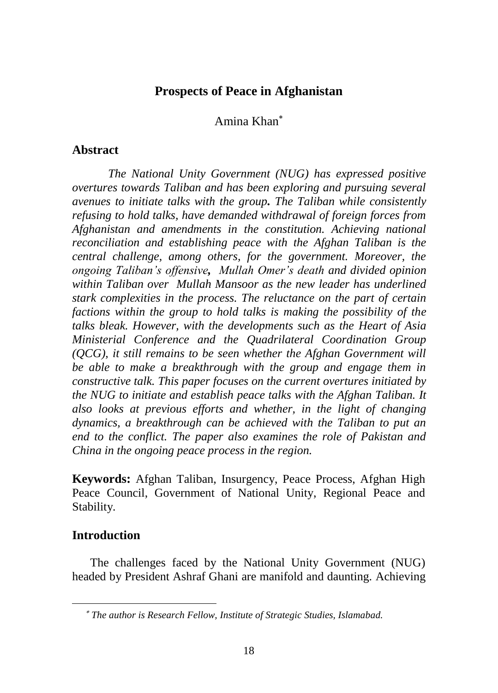## **Prospects of Peace in Afghanistan**

## Amina Khan

### **Abstract**

*The National Unity Government (NUG) has expressed positive overtures towards Taliban and has been exploring and pursuing several avenues to initiate talks with the group. The Taliban while consistently refusing to hold talks, have demanded withdrawal of foreign forces from Afghanistan and amendments in the constitution. Achieving national reconciliation and establishing peace with the Afghan Taliban is the central challenge, among others, for the government. Moreover, the ongoing Taliban's offensive, Mullah Omer's death and divided opinion within Taliban over Mullah Mansoor as the new leader has underlined stark complexities in the process. The reluctance on the part of certain factions within the group to hold talks is making the possibility of the talks bleak. However, with the developments such as the Heart of Asia Ministerial Conference and the Quadrilateral Coordination Group (QCG), it still remains to be seen whether the Afghan Government will be able to make a breakthrough with the group and engage them in constructive talk. This paper focuses on the current overtures initiated by the NUG to initiate and establish peace talks with the Afghan Taliban. It also looks at previous efforts and whether, in the light of changing dynamics, a breakthrough can be achieved with the Taliban to put an end to the conflict. The paper also examines the role of Pakistan and China in the ongoing peace process in the region.*

**Keywords:** Afghan Taliban, Insurgency, Peace Process, Afghan High Peace Council, Government of National Unity, Regional Peace and Stability.

### **Introduction**

The challenges faced by the National Unity Government (NUG) headed by President Ashraf Ghani are manifold and daunting. Achieving

*The author is Research Fellow, Institute of Strategic Studies, Islamabad.*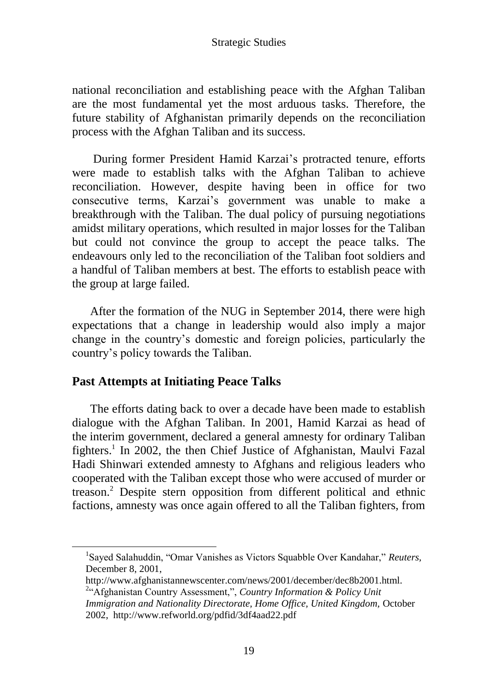national reconciliation and establishing peace with the Afghan Taliban are the most fundamental yet the most arduous tasks. Therefore, the future stability of Afghanistan primarily depends on the reconciliation process with the Afghan Taliban and its success.

During former President Hamid Karzai's protracted tenure, efforts were made to establish talks with the Afghan Taliban to achieve reconciliation. However, despite having been in office for two consecutive terms, Karzai's government was unable to make a breakthrough with the Taliban. The dual policy of pursuing negotiations amidst military operations, which resulted in major losses for the Taliban but could not convince the group to accept the peace talks. The endeavours only led to the reconciliation of the Taliban foot soldiers and a handful of Taliban members at best. The efforts to establish peace with the group at large failed.

After the formation of the NUG in September 2014, there were high expectations that a change in leadership would also imply a major change in the country's domestic and foreign policies, particularly the country's policy towards the Taliban.

## **Past Attempts at Initiating Peace Talks**

The efforts dating back to over a decade have been made to establish dialogue with the Afghan Taliban. In 2001, Hamid Karzai as head of the interim government, declared a general amnesty for ordinary Taliban fighters.<sup>1</sup> In 2002, the then Chief Justice of Afghanistan, Maulvi Fazal Hadi Shinwari extended amnesty to Afghans and religious leaders who cooperated with the Taliban except those who were accused of murder or treason.<sup>2</sup> Despite stern opposition from different political and ethnic factions, amnesty was once again offered to all the Taliban fighters, from

<sup>&</sup>lt;sup>1</sup>Sayed Salahuddin, "Omar Vanishes as Victors Squabble Over Kandahar," Reuters, December 8, 2001,

http://www.afghanistannewscenter.com/news/2001/december/dec8b2001.html. <sup>2</sup>"Afghanistan Country Assessment,", *Country Information & Policy Unit* 

*Immigration and Nationality Directorate, Home Office, United Kingdom,* October 2002, http://www.refworld.org/pdfid/3df4aad22.pdf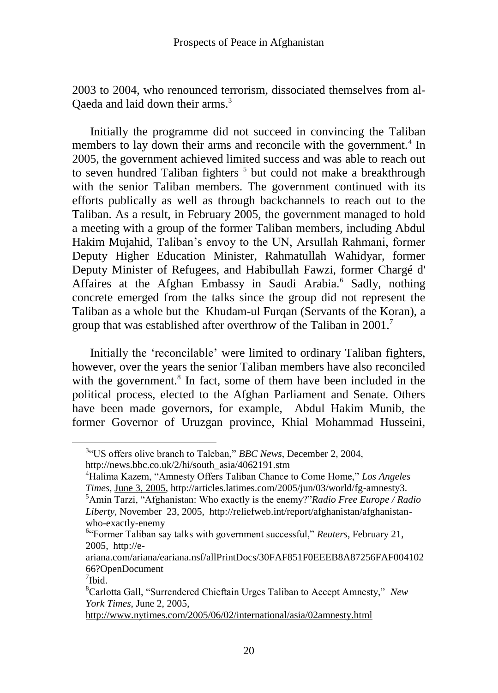2003 to 2004, who renounced terrorism, dissociated themselves from al-Qaeda and laid down their arms.<sup>3</sup>

Initially the programme did not succeed in convincing the Taliban members to lay down their arms and reconcile with the government.<sup>4</sup> In 2005, the government achieved limited success and was able to reach out to seven hundred Taliban fighters<sup>5</sup> but could not make a breakthrough with the senior Taliban members. The government continued with its efforts publically as well as through backchannels to reach out to the Taliban. As a result, in February 2005, the government managed to hold a meeting with a group of the former Taliban members, including Abdul Hakim Mujahid, Taliban's envoy to the UN, Arsullah Rahmani, former Deputy Higher Education Minister, Rahmatullah Wahidyar, former Deputy Minister of Refugees, and Habibullah Fawzi, former Chargé d' Affaires at the Afghan Embassy in Saudi Arabia.<sup>6</sup> Sadly, nothing concrete emerged from the talks since the group did not represent the Taliban as a whole but the Khudam-ul Furqan (Servants of the Koran), a group that was established after overthrow of the Taliban in 2001.<sup>7</sup>

Initially the 'reconcilable' were limited to ordinary Taliban fighters, however, over the years the senior Taliban members have also reconciled with the government.<sup>8</sup> In fact, some of them have been included in the political process, elected to the Afghan Parliament and Senate. Others have been made governors, for example, Abdul Hakim Munib, the former Governor of Uruzgan province, Khial Mohammad Husseini,

<sup>&</sup>lt;sup>3</sup><sup>4</sup>US offers olive branch to Taleban," *BBC News*, December 2, 2004,

http://news.bbc.co.uk/2/hi/south\_asia/4062191.stm

<sup>&</sup>lt;sup>4</sup>Halima Kazem, "Amnesty Offers Taliban Chance to Come Home," *Los Angeles Times,* [June 3, 2005,](../Downloads/June%203,%202005) http://articles.latimes.com/2005/jun/03/world/fg-amnesty3. <sup>5</sup>Amin Tarzi, "Afghanistan: Who exactly is the enemy?"*Radio Free Europe / Radio Liberty,* November 23, 2005, http://reliefweb.int/report/afghanistan/afghanistanwho-exactly-enemy

<sup>&</sup>lt;sup>6</sup>"Former Taliban say talks with government successful," *Reuters*, February 21, 2005, http://e-

ariana.com/ariana/eariana.nsf/allPrintDocs/30FAF851F0EEEB8A87256FAF004102 66?OpenDocument

 $7$ Ibid.

<sup>&</sup>lt;sup>8</sup>Carlotta Gall, "Surrendered Chieftain Urges Taliban to Accept Amnesty," *New York Times*, June 2, 2005,

<http://www.nytimes.com/2005/06/02/international/asia/02amnesty.html>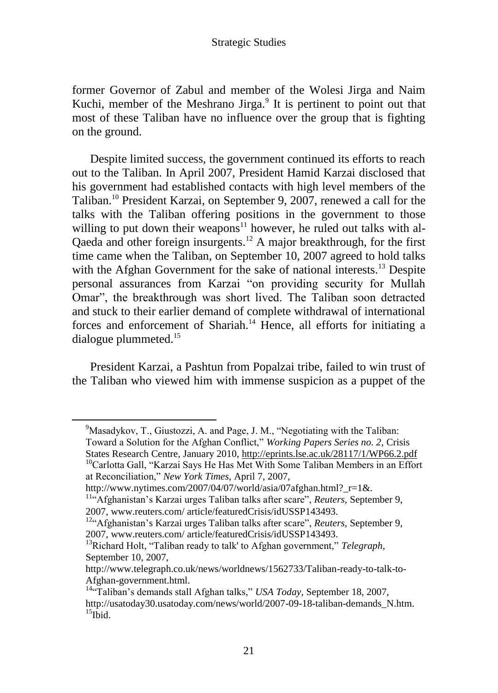former Governor of Zabul and member of the Wolesi Jirga and Naim Kuchi, member of the Meshrano Jirga.<sup>9</sup> It is pertinent to point out that most of these Taliban have no influence over the group that is fighting on the ground.

Despite limited success, the government continued its efforts to reach out to the Taliban. In April 2007, President Hamid Karzai disclosed that his government had established contacts with high level members of the Taliban.<sup>10</sup> President Karzai, on September 9, 2007, renewed a call for the talks with the Taliban offering positions in the government to those willing to put down their weapons $11$  however, he ruled out talks with al-Qaeda and other foreign insurgents.<sup>12</sup> A major breakthrough, for the first time came when the Taliban, on September 10, 2007 agreed to hold talks with the Afghan Government for the sake of national interests.<sup>13</sup> Despite personal assurances from Karzai "on providing security for Mullah Omar", the breakthrough was short lived. The Taliban soon detracted and stuck to their earlier demand of complete withdrawal of international forces and enforcement of Shariah.<sup>14</sup> Hence, all efforts for initiating a dialogue plummeted.<sup>15</sup>

President Karzai, a Pashtun from Popalzai tribe, failed to win trust of the Taliban who viewed him with immense suspicion as a puppet of the

 $9^9$ Masadykov, T., Giustozzi, A. and Page, J. M., "Negotiating with the Taliban: Toward a Solution for the Afghan Conflict," *Working Papers Series no. 2*, Crisis States Research Centre, January 2010,<http://eprints.lse.ac.uk/28117/1/WP66.2.pdf>

<sup>&</sup>lt;sup>10</sup>Carlotta Gall, "Karzai Says He Has Met With Some Taliban Members in an Effort at Reconciliation,‖ *New York Times,* April 7, 2007,

http://www.nytimes.com/2007/04/07/world/asia/07afghan.html? r=1&.

<sup>&</sup>lt;sup>11"</sup>Afghanistan's Karzai urges Taliban talks after scare", *Reuters*, September 9, 2007, www.reuters.com/ article/featuredCrisis/idUSSP143493.

<sup>&</sup>lt;sup>12</sup><sup>4</sup> Afghanistan's Karzai urges Taliban talks after scare", *Reuters*, September 9, 2007, www.reuters.com/ article/featuredCrisis/idUSSP143493.

<sup>&</sup>lt;sup>13</sup>Richard Holt, "Taliban ready to talk' to Afghan government," Telegraph, September 10, 2007,

http://www.telegraph.co.uk/news/worldnews/1562733/Taliban-ready-to-talk-to-Afghan-government.html.

<sup>&</sup>lt;sup>14</sup><sup>c</sup>Taliban's demands stall Afghan talks," USA Today, September 18, 2007, http://usatoday30.usatoday.com/news/world/2007-09-18-taliban-demands\_N.htm.  $15$ Ibid.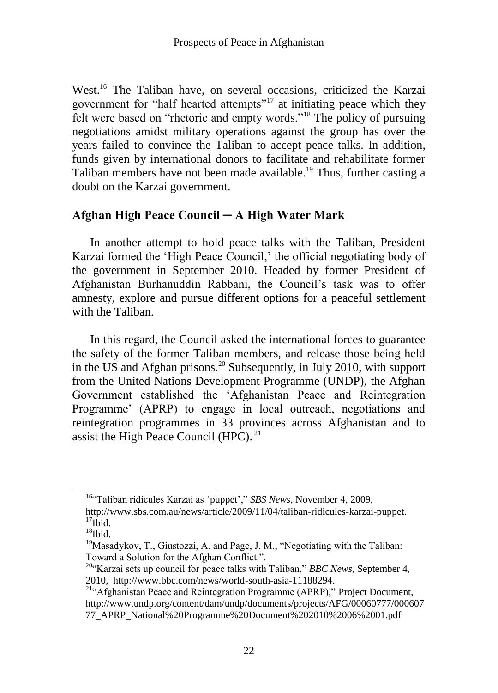West.<sup>16</sup> The Taliban have, on several occasions, criticized the Karzai government for "half hearted attempts"<sup>17</sup> at initiating peace which they felt were based on "rhetoric and empty words."<sup>18</sup> The policy of pursuing negotiations amidst military operations against the group has over the years failed to convince the Taliban to accept peace talks. In addition, funds given by international donors to facilitate and rehabilitate former Taliban members have not been made available.<sup>19</sup> Thus, further casting a doubt on the Karzai government.

## **Afghan High Peace Council ─ A High Water Mark**

In another attempt to hold peace talks with the Taliban, President Karzai formed the 'High Peace Council,' the official negotiating body of the government in September 2010. Headed by former President of Afghanistan Burhanuddin Rabbani, the Council's task was to offer amnesty, explore and pursue different options for a peaceful settlement with the Taliban.

In this regard, the Council asked the international forces to guarantee the safety of the former Taliban members, and release those being held in the US and Afghan prisons.<sup>20</sup> Subsequently, in July 2010, with support from the United Nations Development Programme (UNDP), the Afghan Government established the 'Afghanistan Peace and Reintegration Programme' (APRP) to engage in local outreach, negotiations and reintegration programmes in 33 provinces across Afghanistan and to assist the High Peace Council (HPC). $^{21}$ 

<sup>&</sup>lt;sup>16</sup><sup>c</sup>Taliban ridicules Karzai as 'puppet'," SBS News, November 4, 2009,

http://www.sbs.com.au/news/article/2009/11/04/taliban-ridicules-karzai-puppet.  $17$ Ibid.

 $18$ Ibid.

 $19$ Masadykov, T., Giustozzi, A. and Page, J. M., "Negotiating with the Taliban: Toward a Solution for the Afghan Conflict.".

<sup>&</sup>lt;sup>20</sup><sup>c</sup>Karzai sets up council for peace talks with Taliban," *BBC News*, September 4, 2010, http://www.bbc.com/news/world-south-asia-11188294.

<sup>&</sup>lt;sup>21</sup>"Afghanistan Peace and Reintegration Programme (APRP)," Project Document, http://www.undp.org/content/dam/undp/documents/projects/AFG/00060777/000607 77\_APRP\_National%20Programme%20Document%202010%2006%2001.pdf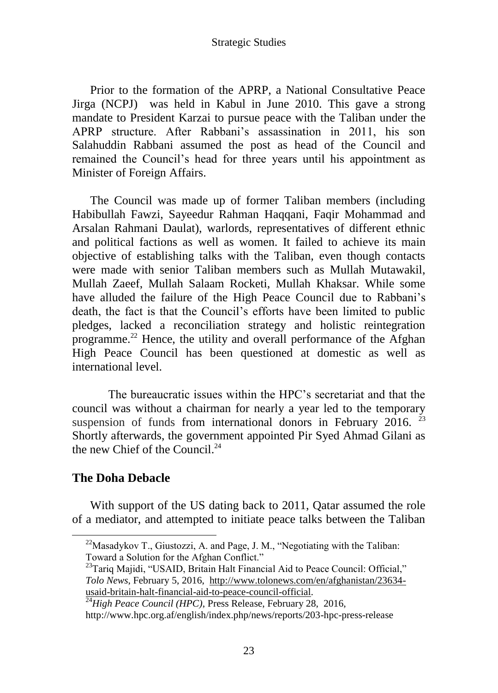Prior to the formation of the APRP, a National Consultative Peace Jirga (NCPJ) was held in Kabul in June 2010. This gave a strong mandate to President Karzai to pursue peace with the Taliban under the APRP structure. After Rabbani's assassination in 2011, his son Salahuddin Rabbani assumed the post as head of the Council and remained the Council's head for three years until his appointment as Minister of Foreign Affairs.

The Council was made up of former Taliban members (including Habibullah Fawzi, Sayeedur Rahman Haqqani, Faqir Mohammad and Arsalan Rahmani Daulat), warlords, representatives of different ethnic and political factions as well as women. It failed to achieve its main objective of establishing talks with the Taliban, even though contacts were made with senior Taliban members such as Mullah Mutawakil, Mullah Zaeef, Mullah Salaam Rocketi, Mullah Khaksar. While some have alluded the failure of the High Peace Council due to Rabbani's death, the fact is that the Council's efforts have been limited to public pledges, lacked a reconciliation strategy and holistic reintegration programme.<sup>22</sup> Hence, the utility and overall performance of the Afghan High Peace Council has been questioned at domestic as well as international level.

The bureaucratic issues within the HPC's secretariat and that the council was without a chairman for nearly a year led to the temporary suspension of funds from international donors in February 2016.<sup>23</sup> Shortly afterwards, the government appointed Pir Syed Ahmad Gilani as the new Chief of the Council. $^{24}$ 

### **The Doha Debacle**

With support of the US dating back to 2011, Qatar assumed the role of a mediator, and attempted to initiate peace talks between the Taliban

 $^{22}$ Masadykov T., Giustozzi, A. and Page, J. M., "Negotiating with the Taliban: Toward a Solution for the Afghan Conflict."

<sup>&</sup>lt;sup>23</sup>Tariq Majidi, "USAID, Britain Halt Financial Aid to Peace Council: Official," *Tolo News*, February 5, 2016, [http://www.tolonews.com/en/afghanistan/23634](http://www.tolonews.com/en/afghanistan/23634-usaid-britain-halt-financial-aid-to-peace-council-official) [usaid-britain-halt-financial-aid-to-peace-council-official.](http://www.tolonews.com/en/afghanistan/23634-usaid-britain-halt-financial-aid-to-peace-council-official)

<sup>&</sup>lt;sup>24</sup>High Peace Council (HPC), Press Release, February 28, 2016, http://www.hpc.org.af/english/index.php/news/reports/203-hpc-press-release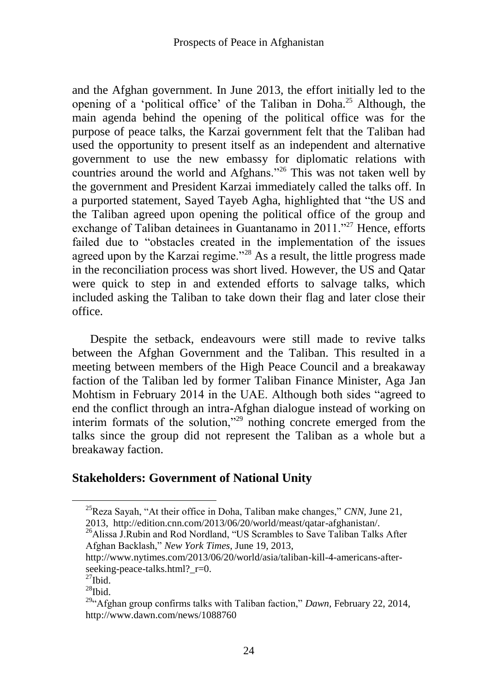and the Afghan government. In June 2013, the effort initially led to the opening of a 'political office' of the Taliban in Doha.<sup>25</sup> Although, the main agenda behind the opening of the political office was for the purpose of peace talks, the Karzai government felt that the Taliban had used the opportunity to present itself as an independent and alternative government to use the new embassy for diplomatic relations with countries around the world and Afghans.<sup>226</sup> This was not taken well by the government and President Karzai immediately called the talks off. In a purported statement, Sayed Tayeb Agha, highlighted that "the US and the Taliban agreed upon opening the political office of the group and exchange of Taliban detainees in Guantanamo in  $2011.^{227}$  Hence, efforts failed due to "obstacles created in the implementation of the issues agreed upon by the Karzai regime.<sup> $28$ </sup> As a result, the little progress made in the reconciliation process was short lived. However, the US and Qatar were quick to step in and extended efforts to salvage talks, which included asking the Taliban to take down their flag and later close their office.

Despite the setback, endeavours were still made to revive talks between the Afghan Government and the Taliban. This resulted in a meeting between members of the High Peace Council and a breakaway faction of the Taliban led by former Taliban Finance Minister, Aga Jan Mohtism in February 2014 in the UAE. Although both sides "agreed to end the conflict through an intra-Afghan dialogue instead of working on interim formats of the solution,"<sup>29</sup> nothing concrete emerged from the talks since the group did not represent the Taliban as a whole but a breakaway faction.

## **Stakeholders: Government of National Unity**

<sup>&</sup>lt;sup>25</sup>Reza Sayah, "At their office in Doha, Taliban make changes," *CNN*, June 21, 2013, http://edition.cnn.com/2013/06/20/world/meast/qatar-afghanistan/.

 $^{26}$ Alissa J.Rubin and Rod Nordland, "US Scrambles to Save Taliban Talks After Afghan Backlash,‖ *New York Times*, June 19, 2013,

http://www.nytimes.com/2013/06/20/world/asia/taliban-kill-4-americans-afterseeking-peace-talks.html? r=0.

 $^{27}$ Ibid.

 $^{28}$ Ibid.

<sup>&</sup>lt;sup>29</sup><sup>"</sup>Afghan group confirms talks with Taliban faction," *Dawn*, February 22, 2014, http://www.dawn.com/news/1088760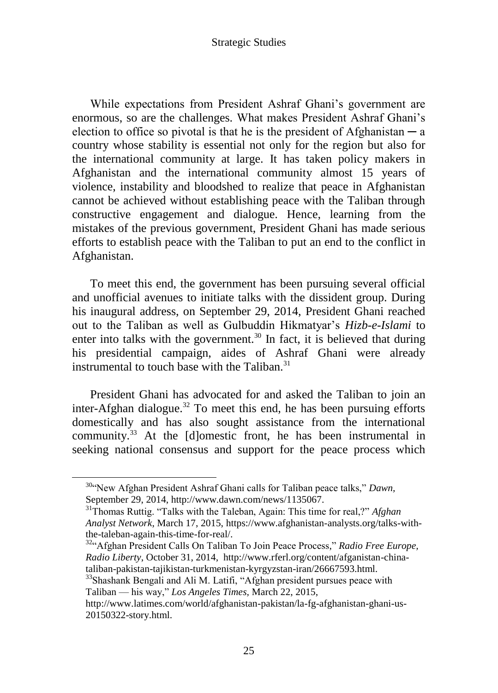While expectations from President Ashraf Ghani's government are enormous, so are the challenges. What makes President Ashraf Ghani's election to office so pivotal is that he is the president of Afghanistan  $-a$ country whose stability is essential not only for the region but also for the international community at large. It has taken policy makers in Afghanistan and the international community almost 15 years of violence, instability and bloodshed to realize that peace in Afghanistan cannot be achieved without establishing peace with the Taliban through constructive engagement and dialogue. Hence, learning from the mistakes of the previous government, President Ghani has made serious efforts to establish peace with the Taliban to put an end to the conflict in Afghanistan.

To meet this end, the government has been pursuing several official and unofficial avenues to initiate talks with the dissident group. During his inaugural address, on September 29, 2014, President Ghani reached out to the Taliban as well as Gulbuddin Hikmatyar's *Hizb-e-Islami* to enter into talks with the government.<sup>30</sup> In fact, it is believed that during his presidential campaign, aides of Ashraf Ghani were already instrumental to touch base with the Taliban. $31$ 

President Ghani has advocated for and asked the Taliban to join an inter-Afghan dialogue.<sup>32</sup> To meet this end, he has been pursuing efforts domestically and has also sought assistance from the international community.<sup>33</sup> At the [d]omestic front, he has been instrumental in seeking national consensus and support for the peace process which

<sup>&</sup>lt;sup>30.</sup> New Afghan President Ashraf Ghani calls for Taliban peace talks," Dawn, September 29, 2014, http://www.dawn.com/news/1135067.

<sup>&</sup>lt;sup>31</sup>Thomas Ruttig. "Talks with the Taleban, Again: This time for real,?" *Afghan Analyst Network*, March 17, 2015, https://www.afghanistan-analysts.org/talks-withthe-taleban-again-this-time-for-real/.

<sup>&</sup>lt;sup>32</sup><sup>4</sup> Afghan President Calls On Taliban To Join Peace Process," Radio Free Europe, *Radio Liberty*, October 31, 2014, http://www.rferl.org/content/afganistan-chinataliban-pakistan-tajikistan-turkmenistan-kyrgyzstan-iran/26667593.html.

<sup>&</sup>lt;sup>33</sup>Shashank Bengali and Ali M. Latifi, "Afghan president pursues peace with Taliban — his way," Los Angeles Times, March 22, 2015,

http://www.latimes.com/world/afghanistan-pakistan/la-fg-afghanistan-ghani-us-20150322-story.html.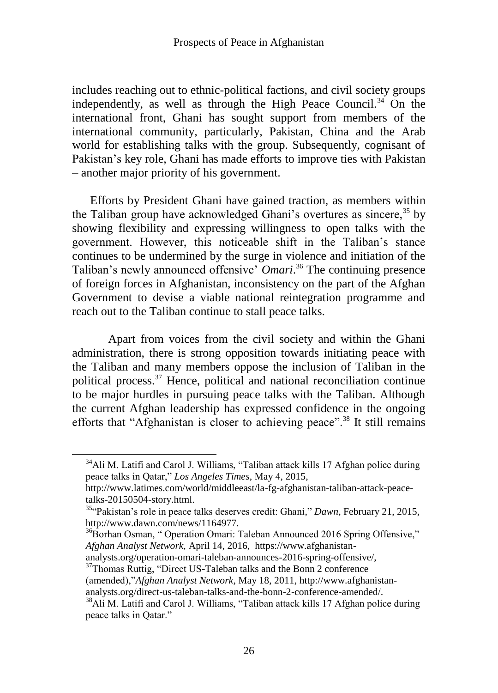includes reaching out to ethnic-political factions, and civil society groups independently, as well as through the High Peace Council.<sup>34</sup> On the international front, Ghani has sought support from members of the international community, particularly, Pakistan, China and the Arab world for establishing talks with the group. Subsequently, cognisant of Pakistan's key role, Ghani has made efforts to improve ties with Pakistan – another major priority of his government.

Efforts by President Ghani have gained traction, as members within the Taliban group have acknowledged Ghani's overtures as sincere,  $35$  by showing flexibility and expressing willingness to open talks with the government. However, this noticeable shift in the Taliban's stance continues to be undermined by the surge in violence and initiation of the Taliban's newly announced offensive' *Omari*. <sup>36</sup> The continuing presence of foreign forces in Afghanistan, inconsistency on the part of the Afghan Government to devise a viable national reintegration programme and reach out to the Taliban continue to stall peace talks.

Apart from voices from the civil society and within the Ghani administration, there is strong opposition towards initiating peace with the Taliban and many members oppose the inclusion of Taliban in the political process.<sup>37</sup> Hence, political and national reconciliation continue to be major hurdles in pursuing peace talks with the Taliban. Although the current Afghan leadership has expressed confidence in the ongoing efforts that "Afghanistan is closer to achieving peace".<sup>38</sup> It still remains

 $34$ Ali M. Latifi and Carol J. Williams, "Taliban attack kills 17 Afghan police during peace talks in Qatar," *Los Angeles Times*, May 4, 2015,

http://www.latimes.com/world/middleeast/la-fg-afghanistan-taliban-attack-peacetalks-20150504-story.html.

<sup>&</sup>lt;sup>35</sup><sup>-</sup>Pakistan's role in peace talks deserves credit: Ghani," *Dawn*, February 21, 2015, http://www.dawn.com/news/1164977.

 $36$ Borhan Osman, "Operation Omari: Taleban Announced 2016 Spring Offensive," *Afghan Analyst Network,* April 14, 2016, https://www.afghanistan-

analysts.org/operation-omari-taleban-announces-2016-spring-offensive/,

<sup>&</sup>lt;sup>37</sup>Thomas Ruttig, "Direct US-Taleban talks and the Bonn 2 conference (amended),"*Afghan Analyst Network*, May 18, 2011, http://www.afghanistananalysts.org/direct-us-taleban-talks-and-the-bonn-2-conference-amended/.

<sup>&</sup>lt;sup>38</sup>Ali M. Latifi and Carol J. Williams, "Taliban attack kills 17 Afghan police during peace talks in Qatar."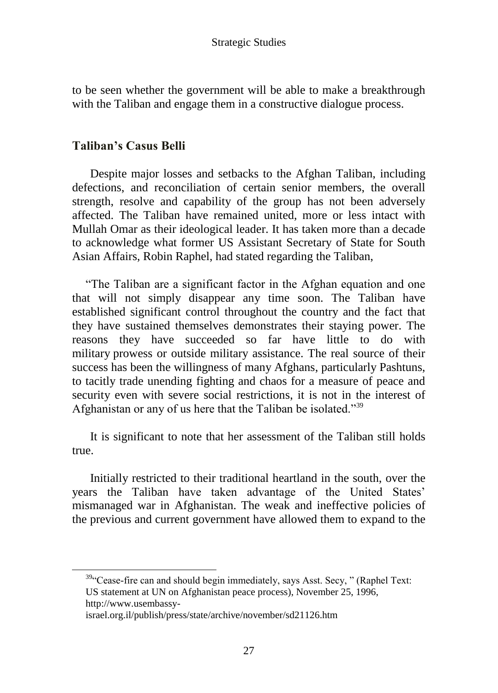to be seen whether the government will be able to make a breakthrough with the Taliban and engage them in a constructive dialogue process.

### **Taliban's Casus Belli**

Despite major losses and setbacks to the Afghan Taliban, including defections, and reconciliation of certain senior members, the overall strength, resolve and capability of the group has not been adversely affected. The Taliban have remained united, more or less intact with Mullah Omar as their ideological leader. It has taken more than a decade to acknowledge what former US Assistant Secretary of State for South Asian Affairs, Robin Raphel, had stated regarding the Taliban,

―The Taliban are a significant factor in the Afghan equation and one that will not simply disappear any time soon. The Taliban have established significant control throughout the country and the fact that they have sustained themselves demonstrates their staying power. The reasons they have succeeded so far have little to do with military prowess or outside military assistance. The real source of their success has been the willingness of many Afghans, particularly Pashtuns, to tacitly trade unending fighting and chaos for a measure of peace and security even with severe social restrictions, it is not in the interest of Afghanistan or any of us here that the Taliban be isolated.<sup>339</sup>

It is significant to note that her assessment of the Taliban still holds true.

Initially restricted to their traditional heartland in the south, over the years the Taliban have taken advantage of the United States' mismanaged war in Afghanistan. The weak and ineffective policies of the previous and current government have allowed them to expand to the

<sup>39</sup><sup>c</sup>Cease-fire can and should begin immediately, says Asst. Secy, " (Raphel Text: US statement at UN on Afghanistan peace process), November 25, 1996, http://www.usembassy-

israel.org.il/publish/press/state/archive/november/sd21126.htm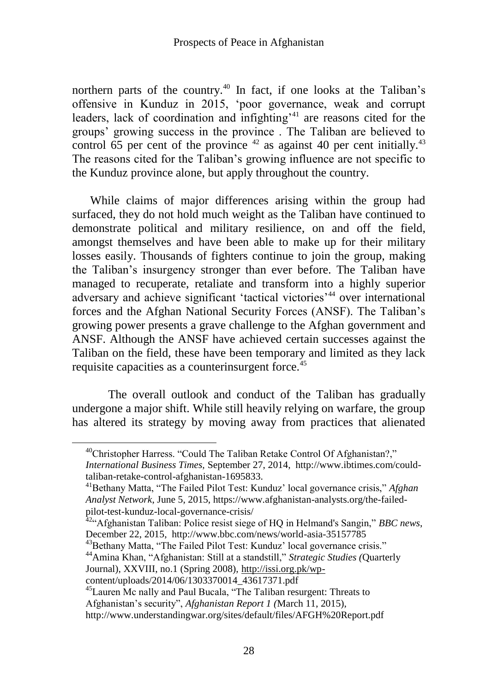### Prospects of Peace in Afghanistan

northern parts of the country.<sup>40</sup> In fact, if one looks at the Taliban's offensive in Kunduz in 2015, ‗poor governance, weak and corrupt leaders, lack of coordination and infighting'<sup>41</sup> are reasons cited for the groups' growing success in the province . The Taliban are believed to control 65 per cent of the province  $42$  as against 40 per cent initially.<sup>43</sup> The reasons cited for the Taliban's growing influence are not specific to the Kunduz province alone, but apply throughout the country.

While claims of major differences arising within the group had surfaced, they do not hold much weight as the Taliban have continued to demonstrate political and military resilience, on and off the field, amongst themselves and have been able to make up for their military losses easily. Thousands of fighters continue to join the group, making the Taliban's insurgency stronger than ever before. The Taliban have managed to recuperate, retaliate and transform into a highly superior adversary and achieve significant 'tactical victories'<sup>44</sup> over international forces and the Afghan National Security Forces (ANSF). The Taliban's growing power presents a grave challenge to the Afghan government and ANSF. Although the ANSF have achieved certain successes against the Taliban on the field, these have been temporary and limited as they lack requisite capacities as a counterinsurgent force.<sup>45</sup>

The overall outlook and conduct of the Taliban has gradually undergone a major shift. While still heavily relying on warfare, the group has altered its strategy by moving away from practices that alienated

<sup>43</sup>Bethany Matta, "The Failed Pilot Test: Kunduz' local governance crisis." <sup>44</sup>Amina Khan, "Afghanistan: Still at a standstill," Strategic Studies (Quarterly Journal), XXVIII, no.1 (Spring 2008)[, http://issi.org.pk/wp-](http://issi.org.pk/wp-)

content/uploads/2014/06/1303370014\_43617371.pdf

<sup>&</sup>lt;sup>40</sup>Christopher Harress. "Could The Taliban Retake Control Of Afghanistan?," *International Business Times,* September 27, 2014, http://www.ibtimes.com/couldtaliban-retake-control-afghanistan-1695833.

<sup>&</sup>lt;sup>41</sup>Bethany Matta, "The Failed Pilot Test: Kunduz' local governance crisis," *Afghan Analyst Network*, June 5, 2015, https://www.afghanistan-analysts.org/the-failedpilot-test-kunduz-local-governance-crisis/

<sup>&</sup>lt;sup>42</sup><sup>42</sup> Afghanistan Taliban: Police resist siege of HQ in Helmand's Sangin," *BBC news*, December 22, 2015, http://www.bbc.com/news/world-asia-35157785

<sup>&</sup>lt;sup>45</sup>Lauren Mc nally and Paul Bucala, "The Taliban resurgent: Threats to Afghanistan's security", *Afghanistan Report 1 (March 11, 2015)*,

http://www.understandingwar.org/sites/default/files/AFGH%20Report.pdf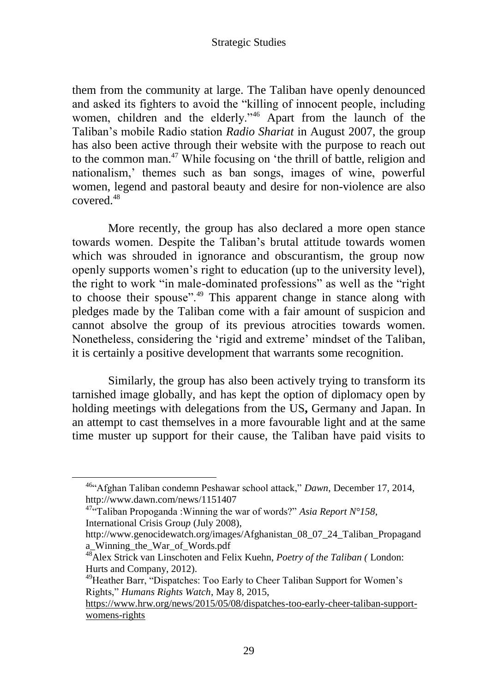them from the community at large. The Taliban have openly denounced and asked its fighters to avoid the "killing of innocent people, including women, children and the elderly."<sup>46</sup> Apart from the launch of the Taliban's mobile Radio station *Radio Shariat* in August 2007, the group has also been active through their website with the purpose to reach out to the common man.<sup>47</sup> While focusing on 'the thrill of battle, religion and nationalism,' themes such as ban songs, images of wine, powerful women, legend and pastoral beauty and desire for non-violence are also covered.<sup>48</sup>

More recently, the group has also declared a more open stance towards women. Despite the Taliban's brutal attitude towards women which was shrouded in ignorance and obscurantism, the group now openly supports women's right to education (up to the university level), the right to work "in male-dominated professions" as well as the "right" to choose their spouse".<sup>49</sup> This apparent change in stance along with pledges made by the Taliban come with a fair amount of suspicion and cannot absolve the group of its previous atrocities towards women. Nonetheless, considering the 'rigid and extreme' mindset of the Taliban, it is certainly a positive development that warrants some recognition.

Similarly, the group has also been actively trying to transform its tarnished image globally, and has kept the option of diplomacy open by holding meetings with delegations from the US**,** Germany and Japan. In an attempt to cast themselves in a more favourable light and at the same time muster up support for their cause, the Taliban have paid visits to

<sup>&</sup>lt;sup>46</sub>. Afghan Taliban condemn Peshawar school attack," Dawn, December 17, 2014,</sup> http://www.dawn.com/news/1151407

 $47\cdot$ <sup>47.</sup> Taliban Propoganda :Winning the war of words?" Asia Report N°158, International Crisis Grou*p* (July 2008),

http://www.genocidewatch.org/images/Afghanistan\_08\_07\_24\_Taliban\_Propagand a\_Winning\_the\_War\_of\_Words.pdf

<sup>48</sup>Alex Strick van Linschoten and [Felix Kuehn,](https://mail.nayatel.com.pk/redir.hsp?url=http%3A%2F%2Fwww.amazon.com%2FFelix-Kuehn%2Fe%2FB005AEE778%2Fref%3Ddp_byline_cont_book_2) *Poetry of the Taliban (* London: Hurts and Company, 2012).

<sup>&</sup>lt;sup>49</sup>Heather Barr, "Dispatches: Too Early to Cheer Taliban Support for Women's Rights,‖ *Humans Rights Watch*, May 8, 2015,

[https://www.hrw.org/news/2015/05/08/dispatches-too-early-cheer-taliban-support](https://www.hrw.org/news/2015/05/08/dispatches-too-early-cheer-taliban-support-womens-rights)[womens-rights](https://www.hrw.org/news/2015/05/08/dispatches-too-early-cheer-taliban-support-womens-rights)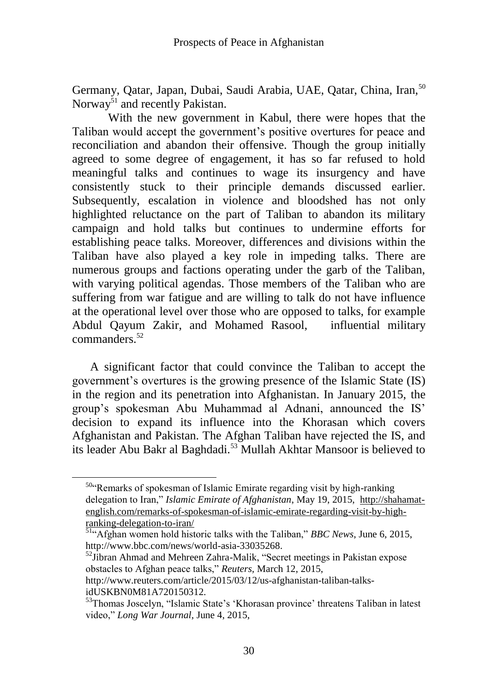Germany, Qatar, Japan, Dubai, Saudi Arabia, UAE, Qatar, China, Iran,<sup>50</sup> Norway $^{51}$  and recently Pakistan.

With the new government in Kabul, there were hopes that the Taliban would accept the government's positive overtures for peace and reconciliation and abandon their offensive. Though the group initially agreed to some degree of engagement, it has so far refused to hold meaningful talks and continues to wage its insurgency and have consistently stuck to their principle demands discussed earlier. Subsequently, escalation in violence and bloodshed has not only highlighted reluctance on the part of Taliban to abandon its military campaign and hold talks but continues to undermine efforts for establishing peace talks. Moreover, differences and divisions within the Taliban have also played a key role in impeding talks. There are numerous groups and factions operating under the garb of the Taliban, with varying political agendas. Those members of the Taliban who are suffering from war fatigue and are willing to talk do not have influence at the operational level over those who are opposed to talks, for example Abdul Qayum Zakir, and Mohamed Rasool, influential military commanders.<sup>52</sup>

A significant factor that could convince the Taliban to accept the government's overtures is the growing presence of the Islamic State (IS) in the region and its penetration into Afghanistan. In January 2015, the group's spokesman Abu Muhammad al Adnani, announced the IS' decision to expand its influence into the Khorasan which covers Afghanistan and Pakistan. The Afghan Taliban have rejected the IS, and its leader Abu Bakr al Baghdadi.<sup>53</sup> Mullah Akhtar Mansoor is believed to

<sup>50.</sup> Remarks of spokesman of Islamic Emirate regarding visit by high-ranking delegation to Iran,‖ *Islamic Emirate of Afghanistan*, May 19, 2015, [http://shahamat](http://shahamat-english.com/remarks-of-spokesman-of-islamic-emirate-regarding-visit-by-high-ranking-delegation-to-iran/)[english.com/remarks-of-spokesman-of-islamic-emirate-regarding-visit-by-high](http://shahamat-english.com/remarks-of-spokesman-of-islamic-emirate-regarding-visit-by-high-ranking-delegation-to-iran/)[ranking-delegation-to-iran/](http://shahamat-english.com/remarks-of-spokesman-of-islamic-emirate-regarding-visit-by-high-ranking-delegation-to-iran/)

 $\frac{51}{4}$ Afghan women hold historic talks with the Taliban," *BBC News*, June 6, 2015, http://www.bbc.com/news/world-asia-33035268.

 $52$ Jibran Ahmad and Mehreen Zahra-Malik, "Secret meetings in Pakistan expose obstacles to Afghan peace talks,‖ *Reuters,* March 12, 2015,

http://www.reuters.com/article/2015/03/12/us-afghanistan-taliban-talksidUSKBN0M81A720150312.

<sup>53</sup>Thomas Joscelyn, "Islamic State's 'Khorasan province' threatens Taliban in latest video," *Long War Journal*, June 4, 2015,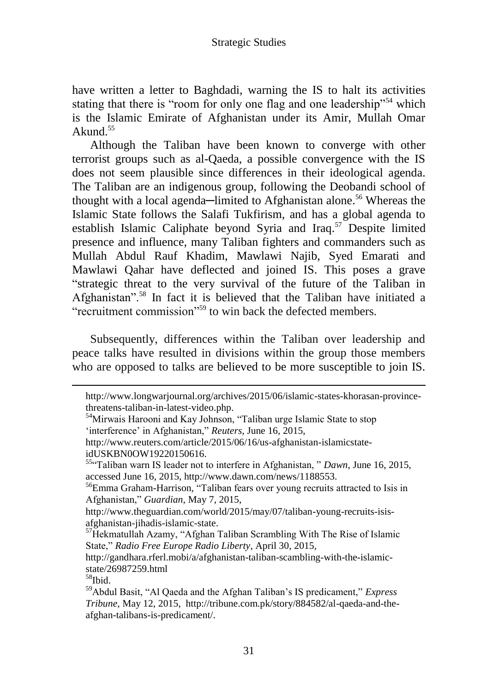have written a letter to Baghdadi, warning the IS to halt its activities stating that there is "room for only one flag and one leadership"<sup>54</sup> which is the Islamic Emirate of Afghanistan under its Amir, Mullah Omar Akund. $55$ 

Although the Taliban have been known to converge with other terrorist groups such as al-Qaeda, a possible convergence with the IS does not seem plausible since differences in their ideological agenda. The Taliban are an indigenous group, following the Deobandi school of thought with a local agenda—limited to Afghanistan alone.<sup>56</sup> Whereas the Islamic State follows the Salafi Tukfirism, and has a global agenda to establish Islamic Caliphate beyond Syria and Iraq.<sup>57</sup> Despite limited presence and influence, many Taliban fighters and commanders such as Mullah Abdul Rauf Khadim, Mawlawi Najib, Syed Emarati and Mawlawi Qahar have deflected and joined IS. This poses a grave ―strategic threat to the very survival of the future of the Taliban in Afghanistan".<sup>58</sup> In fact it is believed that the Taliban have initiated a "recruitment commission"<sup>59</sup> to win back the defected members.

Subsequently, differences within the Taliban over leadership and peace talks have resulted in divisions within the group those members who are opposed to talks are believed to be more susceptible to join IS.

http://www.theguardian.com/world/2015/may/07/taliban-young-recruits-isisafghanistan-jihadis-islamic-state.

http://www.longwarjournal.org/archives/2015/06/islamic-states-khorasan-provincethreatens-taliban-in-latest-video.php.

<sup>&</sup>lt;sup>54</sup>Mirwais Harooni and Kay Johnson, "Taliban urge Islamic State to stop ‗interference' in Afghanistan,‖ *Reuters,* June 16, 2015,

http://www.reuters.com/article/2015/06/16/us-afghanistan-islamicstateidUSKBN0OW19220150616.

<sup>&</sup>lt;sup>55</sup><sup>cc</sup>Taliban warn IS leader not to interfere in Afghanistan, " *Dawn*, June 16, 2015, accessed June 16, 2015, http://www.dawn.com/news/1188553.

<sup>&</sup>lt;sup>56</sup>Emma Graham-Harrison, "Taliban fears over young recruits attracted to Isis in Afghanistan,‖ *Guardian*, May 7, 2015,

<sup>57</sup>Hekmatullah Azamy, "Afghan Taliban Scrambling With The Rise of Islamic State,‖ *Radio Free Europe Radio Liberty*, April 30, 2015,

http://gandhara.rferl.mobi/a/afghanistan-taliban-scambling-with-the-islamicstate/26987259.html

<sup>58</sup>Ibid.

<sup>&</sup>lt;sup>59</sup>Abdul Basit, "Al Qaeda and the Afghan Taliban's IS predicament," *Express Tribune,* May 12, 2015, http://tribune.com.pk/story/884582/al-qaeda-and-theafghan-talibans-is-predicament/.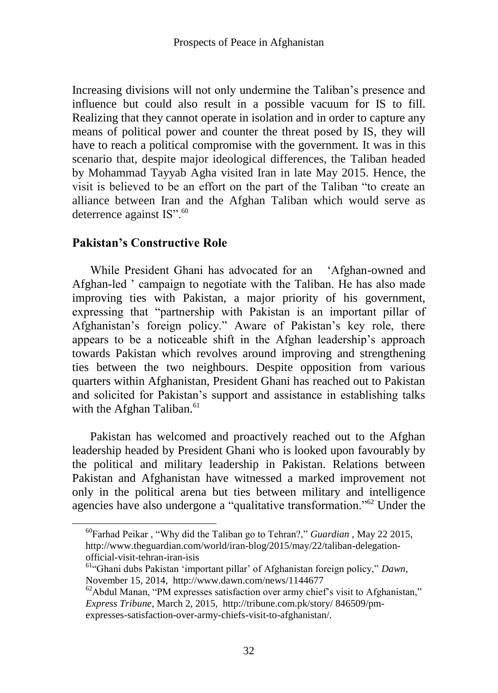Increasing divisions will not only undermine the Taliban's presence and influence but could also result in a possible vacuum for IS to fill. Realizing that they cannot operate in isolation and in order to capture any means of political power and counter the threat posed by IS, they will have to reach a political compromise with the government. It was in this scenario that, despite major ideological differences, the Taliban headed by Mohammad Tayyab Agha visited Iran in late May 2015. Hence, the visit is believed to be an effort on the part of the Taliban "to create an alliance between Iran and the Afghan Taliban which would serve as deterrence against  $IS$ ".<sup>60</sup>

## **Pakistan's Constructive Role**

 $\overline{a}$ 

While President Ghani has advocated for an 'Afghan-owned and Afghan-led ' campaign to negotiate with the Taliban. He has also made improving ties with Pakistan, a major priority of his government, expressing that "partnership with Pakistan is an important pillar of Afghanistan's foreign policy." Aware of Pakistan's key role, there appears to be a noticeable shift in the Afghan leadership's approach towards Pakistan which revolves around improving and strengthening ties between the two neighbours. Despite opposition from various quarters within Afghanistan, President Ghani has reached out to Pakistan and solicited for Pakistan's support and assistance in establishing talks with the Afghan Taliban.<sup>61</sup>

Pakistan has welcomed and proactively reached out to the Afghan leadership headed by President Ghani who is looked upon favourably by the political and military leadership in Pakistan. Relations between Pakistan and Afghanistan have witnessed a marked improvement not only in the political arena but ties between military and intelligence agencies have also undergone a "qualitative transformation."<sup>62</sup> Under the

<sup>&</sup>lt;sup>60</sup>Farhad Peikar, "Why did the Taliban go to Tehran?," *Guardian*, May 22 2015, http://www.theguardian.com/world/iran-blog/2015/may/22/taliban-delegationofficial-visit-tehran-iran-isis

<sup>&</sup>lt;sup>61</sub>. (Ghani dubs Pakistan 'important pillar' of Afghanistan foreign policy," Dawn,</sup> November 15, 2014, http://www.dawn.com/news/1144677

 $62$ Abdul Manan, "PM expresses satisfaction over army chief's visit to Afghanistan," *Express Tribune*, March 2, 2015, http://tribune.com.pk/story/ 846509/pmexpresses-satisfaction-over-army-chiefs-visit-to-afghanistan/.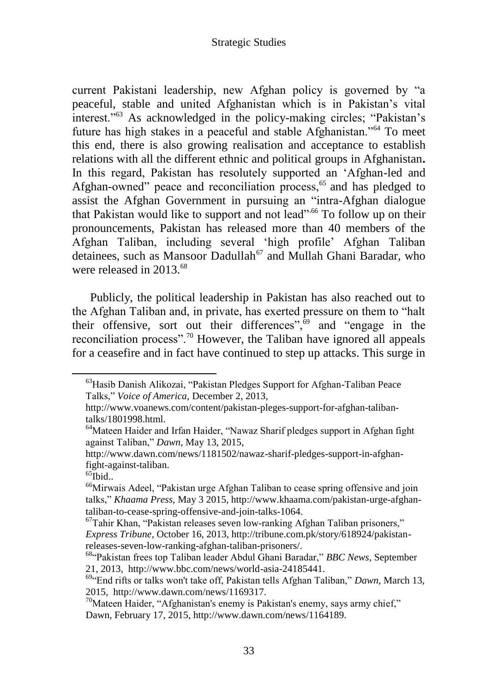current Pakistani leadership, new Afghan policy is governed by "a peaceful, stable and united Afghanistan which is in Pakistan's vital interest."<sup>63</sup> As acknowledged in the policy-making circles; "Pakistan's future has high stakes in a peaceful and stable Afghanistan."<sup>64</sup> To meet this end, there is also growing realisation and acceptance to establish relations with all the different ethnic and political groups in Afghanistan**.**  In this regard, Pakistan has resolutely supported an 'Afghan-led and Afghan-owned" peace and reconciliation process,<sup>65</sup> and has pledged to assist the Afghan Government in pursuing an "intra-Afghan dialogue that Pakistan would like to support and not lead"<sup>.66</sup> To follow up on their pronouncements, Pakistan has released more than 40 members of the Afghan Taliban, including several ‗high profile' Afghan Taliban detainees, such as Mansoor Dadullah<sup>67</sup> and Mullah Ghani Baradar, who were released in 2013.<sup>68</sup>

Publicly, the political leadership in Pakistan has also reached out to the Afghan Taliban and, in private, has exerted pressure on them to "halt" their offensive, sort out their differences",<sup>69</sup> and "engage in the reconciliation process".<sup>70</sup> However, the Taliban have ignored all appeals for a ceasefire and in fact have continued to step up attacks. This surge in

<sup>&</sup>lt;sup>63</sup> Hasib Danish Alikozai, "Pakistan Pledges Support for Afghan-Taliban Peace Talks,‖ *Voice of America,* December 2, 2013,

http://www.voanews.com/content/pakistan-pleges-support-for-afghan-talibantalks/1801998.html.

 $64$ Mateen Haider and Irfan Haider, "Nawaz Sharif pledges support in Afghan fight against Taliban," *Dawn*, May 13, 2015,

http://www.dawn.com/news/1181502/nawaz-sharif-pledges-support-in-afghanfight-against-taliban.

 $^{65}$ Ibid..

 $^{66}$ Mirwais Adeel, "Pakistan urge Afghan Taliban to cease spring offensive and join talks,‖ *Khaama Press,* May 3 2015, http://www.khaama.com/pakistan-urge-afghantaliban-to-cease-spring-offensive-and-join-talks-1064.

 $67$ Tahir Khan, "Pakistan releases seven low-ranking Afghan Taliban prisoners," *Express Tribune*, October 16, 2013, http://tribune.com.pk/story/618924/pakistanreleases-seven-low-ranking-afghan-taliban-prisoners/.

<sup>&</sup>lt;sup>68</sup>"Pakistan frees top Taliban leader Abdul Ghani Baradar," BBC News, September 21, 2013, http://www.bbc.com/news/world-asia-24185441.

<sup>&</sup>lt;sup>69</sup> End rifts or talks won't take off, Pakistan tells Afghan Taliban," Dawn, March 13, 2015, http://www.dawn.com/news/1169317.

<sup>&</sup>lt;sup>70</sup>Mateen Haider, "Afghanistan's enemy is Pakistan's enemy, says army chief," Dawn, February 17, 2015, http://www.dawn.com/news/1164189.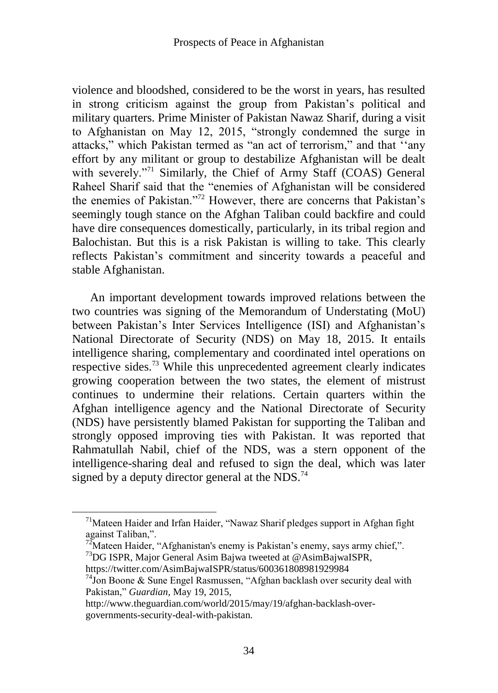violence and bloodshed, considered to be the worst in years, has resulted in strong criticism against the group from Pakistan's political and military quarters. Prime Minister of Pakistan Nawaz Sharif, during a visit to Afghanistan on May 12, 2015, "strongly condemned the surge in attacks," which Pakistan termed as "an act of terrorism," and that "any effort by any militant or group to destabilize Afghanistan will be dealt with severely."<sup>71</sup> Similarly, the Chief of Army Staff (COAS) General Raheel Sharif said that the "enemies of Afghanistan will be considered the enemies of Pakistan."<sup>72</sup> However, there are concerns that Pakistan's seemingly tough stance on the Afghan Taliban could backfire and could have dire consequences domestically, particularly, in its tribal region and Balochistan. But this is a risk Pakistan is willing to take. This clearly reflects Pakistan's commitment and sincerity towards a peaceful and stable Afghanistan.

An important development towards improved relations between the two countries was signing of the Memorandum of Understating (MoU) between Pakistan's Inter Services Intelligence (ISI) and Afghanistan's National Directorate of Security (NDS) on May 18, 2015. It entails intelligence sharing, complementary and coordinated intel operations on respective sides.<sup>73</sup> While this unprecedented agreement clearly indicates growing cooperation between the two states, the element of mistrust continues to undermine their relations. Certain quarters within the Afghan intelligence agency and the National Directorate of Security (NDS) have persistently blamed Pakistan for supporting the Taliban and strongly opposed improving ties with Pakistan. It was reported that Rahmatullah Nabil, chief of the NDS, was a stern opponent of the intelligence-sharing deal and refused to sign the deal, which was later signed by a deputy director general at the NDS.<sup>74</sup>

 $^{72}$ Mateen Haider, "Afghanistan's enemy is Pakistan's enemy, says army chief,".

 $71$ Mateen Haider and Irfan Haider, "Nawaz Sharif pledges support in Afghan fight against Taliban.".

 $^{73}$ DG ISPR, Major General Asim Bajwa tweeted at @AsimBajwaISPR,

https://twitter.com/AsimBajwaISPR/status/600361808981929984

<sup>&</sup>lt;sup>74</sup>Jon Boone & Sune Engel Rasmussen, "Afghan backlash over security deal with Pakistan,‖ *Guardian,* May 19, 2015,

http://www.theguardian.com/world/2015/may/19/afghan-backlash-overgovernments-security-deal-with-pakistan.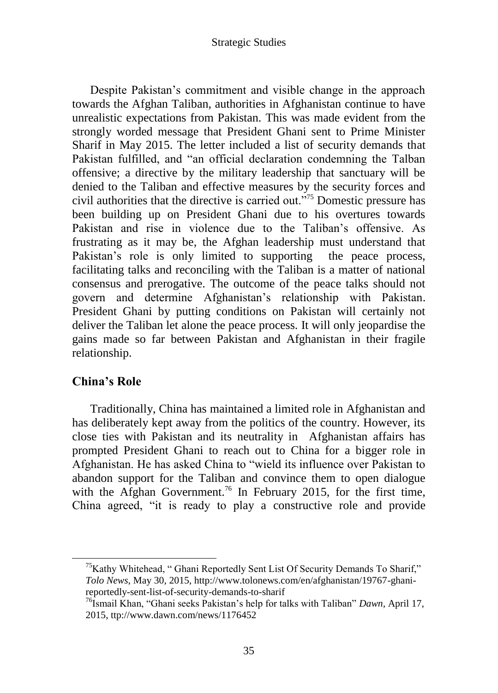Despite Pakistan's commitment and visible change in the approach towards the Afghan Taliban, authorities in Afghanistan continue to have unrealistic expectations from Pakistan. This was made evident from the strongly worded message that President Ghani sent to Prime Minister Sharif in May 2015. The letter included a list of security demands that Pakistan fulfilled, and "an official declaration condemning the Talban offensive; a directive by the military leadership that sanctuary will be denied to the Taliban and effective measures by the security forces and civil authorities that the directive is carried out.<sup>775</sup> Domestic pressure has been building up on President Ghani due to his overtures towards Pakistan and rise in violence due to the Taliban's offensive. As frustrating as it may be, the Afghan leadership must understand that Pakistan's role is only limited to supporting the peace process, facilitating talks and reconciling with the Taliban is a matter of national consensus and prerogative. The outcome of the peace talks should not govern and determine Afghanistan's relationship with Pakistan. President Ghani by putting conditions on Pakistan will certainly not deliver the Taliban let alone the peace process. It will only jeopardise the gains made so far between Pakistan and Afghanistan in their fragile relationship.

## **China's Role**

 $\overline{a}$ 

Traditionally, China has maintained a limited role in Afghanistan and has deliberately kept away from the politics of the country. However, its close ties with Pakistan and its neutrality in Afghanistan affairs has prompted President Ghani to reach out to China for a bigger role in Afghanistan. He has asked China to "wield its influence over Pakistan to abandon support for the Taliban and convince them to open dialogue with the Afghan Government.<sup>76</sup> In February 2015, for the first time, China agreed, "it is ready to play a constructive role and provide

 $<sup>75</sup>Kathy Whitehead, "Ghani Reportedly Sent List Of Security Demands To Sharif,"$ </sup> *Tolo News*, May 30, 2015, http://www.tolonews.com/en/afghanistan/19767-ghanireportedly-sent-list-of-security-demands-to-sharif

<sup>&</sup>lt;sup>76</sup>Ismail Khan, "Ghani seeks Pakistan's help for talks with Taliban" *Dawn*, April 17, 2015, ttp://www.dawn.com/news/1176452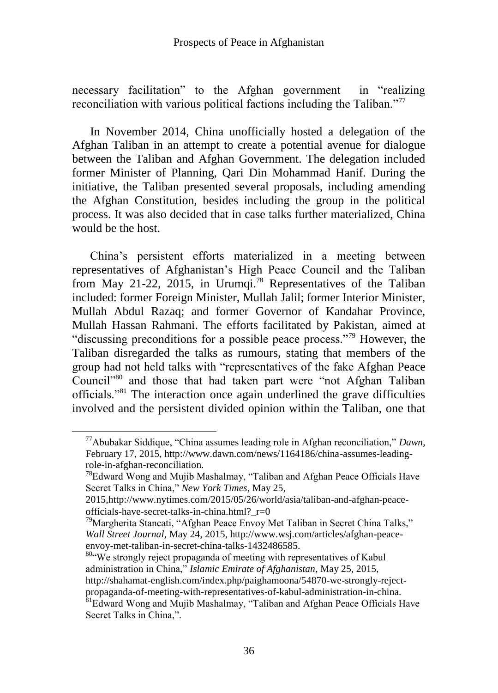necessary facilitation" to the Afghan government in "realizing" reconciliation with various political factions including the Taliban. $\frac{1}{77}$ 

In November 2014, China unofficially hosted a delegation of the Afghan Taliban in an attempt to create a potential avenue for dialogue between the Taliban and Afghan Government. The delegation included former Minister of Planning, Qari Din Mohammad Hanif. During the initiative, the Taliban presented several proposals, including amending the Afghan Constitution, besides including the group in the political process. It was also decided that in case talks further materialized, China would be the host.

China's persistent efforts materialized in a meeting between representatives of Afghanistan's High Peace Council and the Taliban from May 21-22, 2015, in Urumqi.<sup>78</sup> Representatives of the Taliban included: former Foreign Minister, Mullah Jalil; former Interior Minister, Mullah Abdul Razaq; and former Governor of Kandahar Province, Mullah Hassan Rahmani. The efforts facilitated by Pakistan, aimed at "discussing preconditions for a possible peace process."<sup>79</sup> However, the Taliban disregarded the talks as rumours, stating that members of the group had not held talks with "representatives of the fake Afghan Peace Council"<sup>80</sup> and those that had taken part were "not Afghan Taliban officials."<sup>81</sup> The interaction once again underlined the grave difficulties involved and the persistent divided opinion within the Taliban, one that

<sup>&</sup>lt;sup>77</sup>Abubakar Siddique, "China assumes leading role in Afghan reconciliation," Dawn, February 17, 2015, http://www.dawn.com/news/1164186/china-assumes-leadingrole-in-afghan-reconciliation.

 $78E$ dward Wong and Mujib Mashalmay, "Taliban and Afghan Peace Officials Have Secret Talks in China," *New York Times*, May 25,

<sup>2015,</sup>http://www.nytimes.com/2015/05/26/world/asia/taliban-and-afghan-peaceofficials-have-secret-talks-in-china.html?\_r=0

 $79$ Margherita Stancati, "Afghan Peace Envoy Met Taliban in Secret China Talks," *Wall Street Journal,* May 24, 2015, http://www.wsj.com/articles/afghan-peaceenvoy-met-taliban-in-secret-china-talks-1432486585.

<sup>80.</sup> We strongly reject propaganda of meeting with representatives of Kabul administration in China,‖ *Islamic Emirate of Afghanistan*, May 25, 2015, http://shahamat-english.com/index.php/paighamoona/54870-we-strongly-rejectpropaganda-of-meeting-with-representatives-of-kabul-administration-in-china.

 ${}^{81}$ Edward Wong and Mujib Mashalmay, "Taliban and Afghan Peace Officials Have Secret Talks in China,".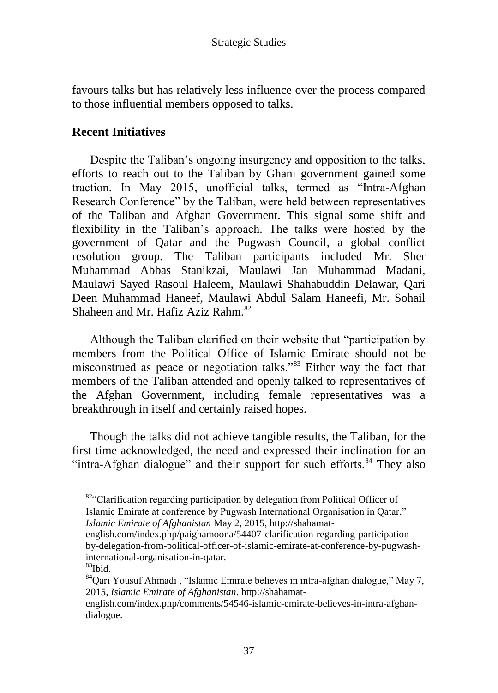favours talks but has relatively less influence over the process compared to those influential members opposed to talks.

## **Recent Initiatives**

Despite the Taliban's ongoing insurgency and opposition to the talks, efforts to reach out to the Taliban by Ghani government gained some traction. In May 2015, unofficial talks, termed as "Intra-Afghan Research Conference" by the Taliban, were held between representatives of the Taliban and Afghan Government. This signal some shift and flexibility in the Taliban's approach. The talks were hosted by the government of Qatar and the Pugwash Council, a global conflict resolution group. The Taliban participants included Mr. Sher Muhammad Abbas Stanikzai, Maulawi Jan Muhammad Madani, Maulawi Sayed Rasoul Haleem, Maulawi Shahabuddin Delawar, Qari Deen Muhammad Haneef, Maulawi Abdul Salam Haneefi, Mr. Sohail Shaheen and Mr. Hafiz Aziz Rahm.<sup>82</sup>

Although the Taliban clarified on their website that "participation by members from the Political Office of Islamic Emirate should not be misconstrued as peace or negotiation talks."<sup>83</sup> Either way the fact that members of the Taliban attended and openly talked to representatives of the Afghan Government, including female representatives was a breakthrough in itself and certainly raised hopes.

Though the talks did not achieve tangible results, the Taliban, for the first time acknowledged, the need and expressed their inclination for an "intra-Afghan dialogue" and their support for such efforts. $84$  They also

82<sup>.</sup> Clarification regarding participation by delegation from Political Officer of Islamic Emirate at conference by Pugwash International Organisation in Qatar," *Islamic Emirate of Afghanistan* May 2, 2015, http://shahamat-

english.com/index.php/paighamoona/54407-clarification-regarding-participationby-delegation-from-political-officer-of-islamic-emirate-at-conference-by-pugwashinternational-organisation-in-qatar.

<sup>83</sup>Ibid.

 $84$ Qari Yousuf Ahmadi, "Islamic Emirate believes in intra-afghan dialogue," May 7, 2015, *Islamic Emirate of Afghanistan*. http://shahamat-

english.com/index.php/comments/54546-islamic-emirate-believes-in-intra-afghandialogue.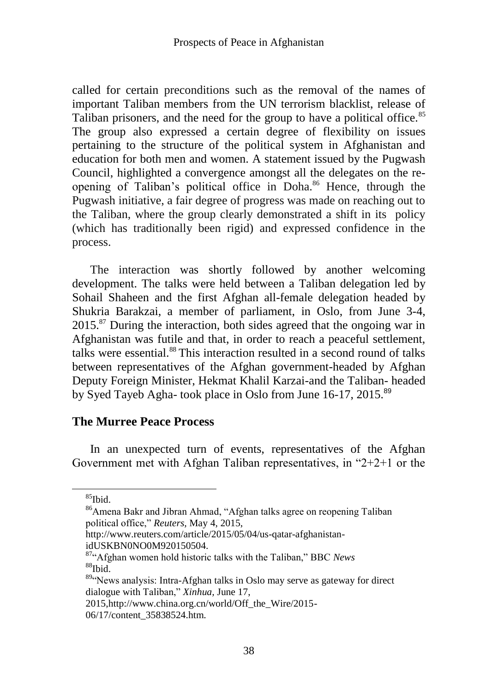called for certain preconditions such as the removal of the names of important Taliban members from the UN terrorism blacklist, release of Taliban prisoners, and the need for the group to have a political office.<sup>85</sup> The group also expressed a certain degree of flexibility on issues pertaining to the structure of the political system in Afghanistan and education for both men and women. A statement issued by the Pugwash Council, highlighted a convergence amongst all the delegates on the reopening of Taliban's political office in Doha.<sup>86</sup> Hence, through the Pugwash initiative, a fair degree of progress was made on reaching out to the Taliban, where the group clearly demonstrated a shift in its policy (which has traditionally been rigid) and expressed confidence in the process.

The interaction was shortly followed by another welcoming development. The talks were held between a Taliban delegation led by Sohail Shaheen and the first Afghan all-female delegation headed by Shukria Barakzai, a member of parliament, in Oslo, from June 3-4, 2015.<sup>87</sup> During the interaction, both sides agreed that the ongoing war in Afghanistan was futile and that, in order to reach a peaceful settlement, talks were essential.<sup>88</sup> This interaction resulted in a second round of talks between representatives of the Afghan government-headed by Afghan Deputy Foreign Minister, Hekmat Khalil Karzai-and the Taliban- headed by Syed Tayeb Agha- took place in Oslo from June 16-17, 2015.<sup>89</sup>

### **The Murree Peace Process**

In an unexpected turn of events, representatives of the Afghan Government met with Afghan Taliban representatives, in  $2+2+1$  or the

 $85$ Ibid.

<sup>&</sup>lt;sup>86</sup>Amena Bakr and Jibran Ahmad, "Afghan talks agree on reopening Taliban political office," Reuters, May 4, 2015,

http://www.reuters.com/article/2015/05/04/us-qatar-afghanistanidUSKBN0NO0M920150504.

<sup>&</sup>lt;sup>87</sup>"Afghan women hold historic talks with the Taliban," BBC *News*  $88$ Ibid

 $89\degree$  News analysis: Intra-Afghan talks in Oslo may serve as gateway for direct dialogue with Taliban," *Xinhua*, June 17,

<sup>2015,</sup>http://www.china.org.cn/world/Off\_the\_Wire/2015-

<sup>06/17/</sup>content\_35838524.htm.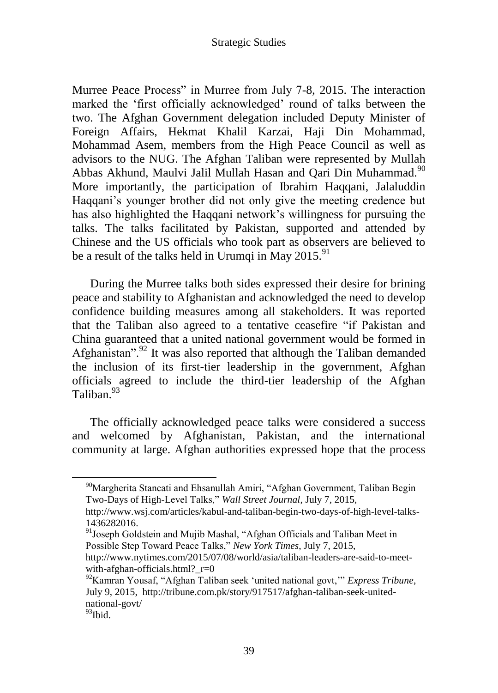Murree Peace Process" in Murree from July 7-8, 2015. The interaction marked the 'first officially acknowledged' round of talks between the two. The Afghan Government delegation included Deputy Minister of Foreign Affairs, Hekmat Khalil Karzai, Haji Din Mohammad, Mohammad Asem, members from the High Peace Council as well as advisors to the NUG. The Afghan Taliban were represented by Mullah Abbas Akhund, Maulvi Jalil Mullah Hasan and Oari Din Muhammad.<sup>90</sup> More importantly, the participation of Ibrahim Haqqani, Jalaluddin Haqqani's younger brother did not only give the meeting credence but has also highlighted the Haqqani network's willingness for pursuing the talks. The talks facilitated by Pakistan, supported and attended by Chinese and the US officials who took part as observers are believed to be a result of the talks held in Urumqi in May  $2015.<sup>91</sup>$ 

During the Murree talks both sides expressed their desire for brining peace and stability to Afghanistan and acknowledged the need to develop confidence building measures among all stakeholders. It was reported that the Taliban also agreed to a tentative ceasefire "if Pakistan and China guaranteed that a united national government would be formed in Afghanistan".<sup>92</sup> It was also reported that although the Taliban demanded the inclusion of its first-tier leadership in the government, Afghan officials agreed to include the third-tier leadership of the Afghan Taliban.<sup>93</sup>

The officially acknowledged peace talks were considered a success and welcomed by Afghanistan, Pakistan, and the international community at large. Afghan authorities expressed hope that the process

<sup>&</sup>lt;sup>90</sup>Margherita Stancati and Ehsanullah Amiri, "Afghan Government, Taliban Begin Two-Days of High-Level Talks," Wall Street Journal, July 7, 2015,

http://www.wsj.com/articles/kabul-and-taliban-begin-two-days-of-high-level-talks-1436282016.

 $91$ Joseph Goldstein and Mujib Mashal, "Afghan Officials and Taliban Meet in Possible Step Toward Peace Talks," *New York Times*, July 7, 2015,

http://www.nytimes.com/2015/07/08/world/asia/taliban-leaders-are-said-to-meetwith-afghan-officials.html? $r=0$ 

<sup>&</sup>lt;sup>92</sup>Kamran Yousaf, "Afghan Taliban seek 'united national govt, "*Express Tribune*, July 9, 2015, http://tribune.com.pk/story/917517/afghan-taliban-seek-unitednational-govt/

 $93$ Ibid.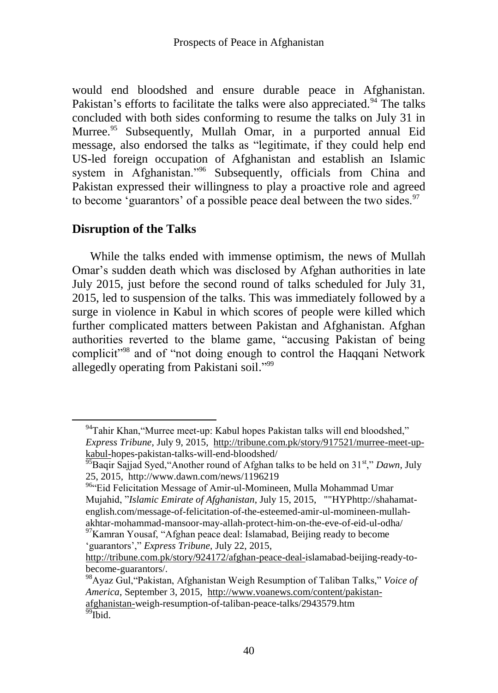would end bloodshed and ensure durable peace in Afghanistan. Pakistan's efforts to facilitate the talks were also appreciated.<sup>94</sup> The talks concluded with both sides conforming to resume the talks on July 31 in Murree.<sup>95</sup> Subsequently, Mullah Omar, in a purported annual Eid message, also endorsed the talks as "legitimate, if they could help end US-led foreign occupation of Afghanistan and establish an Islamic system in Afghanistan."<sup>96</sup> Subsequently, officials from China and Pakistan expressed their willingness to play a proactive role and agreed to become 'guarantors' of a possible peace deal between the two sides.  $97$ 

# **Disruption of the Talks**

 $\overline{a}$ 

While the talks ended with immense optimism, the news of Mullah Omar's sudden death which was disclosed by Afghan authorities in late July 2015, just before the second round of talks scheduled for July 31, 2015, led to suspension of the talks. This was immediately followed by a surge in violence in Kabul in which scores of people were killed which further complicated matters between Pakistan and Afghanistan. Afghan authorities reverted to the blame game, "accusing Pakistan of being complicit<sup>"98</sup> and of "not doing enough to control the Haqqani Network" allegedly operating from Pakistani soil."99

 $94$ Tahir Khan, "Murree meet-up: Kabul hopes Pakistan talks will end bloodshed," *Express Tribune,* July 9, 2015, [http://tribune.com.pk/story/917521/murree-meet-up](http://tribune.com.pk/story/917521/murree-meet-up-kabul-)[kabul-h](http://tribune.com.pk/story/917521/murree-meet-up-kabul-)opes-pakistan-talks-will-end-bloodshed/

<sup>&</sup>lt;sup>95</sup>Baqir Sajjad Syed, "Another round of Afghan talks to be held on 31<sup>st</sup>," *Dawn*, July 25, 2015, http://www.dawn.com/news/1196219

<sup>96&</sup>lt;sup>4</sup>Eid Felicitation Message of Amir-ul-Momineen, Mulla Mohammad Umar Mujahid, ‖*Islamic Emirate of Afghanistan*, July 15, 2015, ""HYPhttp://shahamatenglish.com/message-of-felicitation-of-the-esteemed-amir-ul-momineen-mullahakhtar-mohammad-mansoor-may-allah-protect-him-on-the-eve-of-eid-ul-odha/

 $\frac{97}{8}$ Kamran Yousaf, "Afghan peace deal: Islamabad, Beijing ready to become ‗guarantors',‖ *Express Tribune,* July 22, 2015,

[http://tribune.com.pk/story/924172/afghan-peace-deal-i](http://tribune.com.pk/story/924172/afghan-peace-deal-)slamabad-beijing-ready-tobecome-guarantors/.

<sup>&</sup>lt;sup>98</sup>Ayaz Gul, "Pakistan, Afghanistan Weigh Resumption of Taliban Talks," *Voice of America,* September 3, 2015, [http://www.voanews.com/content/pakistan](http://www.voanews.com/content/pakistan-afghanistan-)[afghanistan-w](http://www.voanews.com/content/pakistan-afghanistan-)eigh-resumption-of-taliban-peace-talks/2943579.htm  $\overline{^{99}}$ Ibid.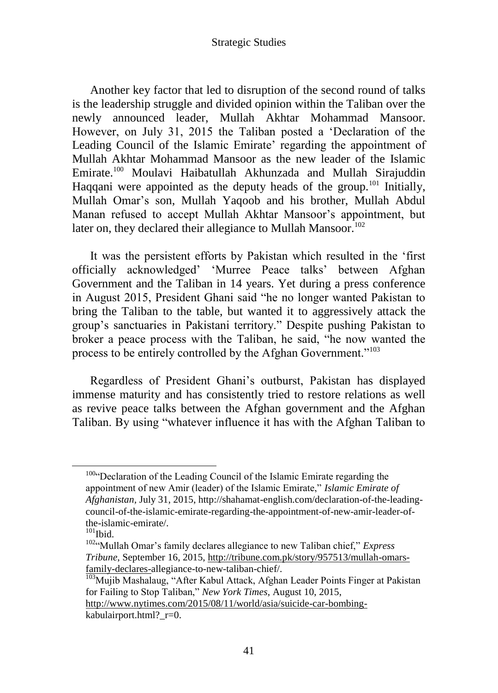Another key factor that led to disruption of the second round of talks is the leadership struggle and divided opinion within the Taliban over the newly announced leader, Mullah Akhtar Mohammad Mansoor. However, on July 31, 2015 the Taliban posted a 'Declaration of the Leading Council of the Islamic Emirate' regarding the appointment of Mullah Akhtar Mohammad Mansoor as the new leader of the Islamic Emirate.<sup>100</sup> Moulavi Haibatullah Akhunzada and Mullah Sirajuddin Haqqani were appointed as the deputy heads of the group.<sup>101</sup> Initially, Mullah Omar's son, Mullah Yaqoob and his brother, Mullah Abdul Manan refused to accept Mullah Akhtar Mansoor's appointment, but later on, they declared their allegiance to Mullah Mansoor.<sup>102</sup>

It was the persistent efforts by Pakistan which resulted in the 'first officially acknowledged' ‗Murree Peace talks' between Afghan Government and the Taliban in 14 years. Yet during a press conference in August 2015, President Ghani said "he no longer wanted Pakistan to bring the Taliban to the table, but wanted it to aggressively attack the group's sanctuaries in Pakistani territory.‖ Despite pushing Pakistan to broker a peace process with the Taliban, he said, "he now wanted the process to be entirely controlled by the Afghan Government."<sup>103</sup>

Regardless of President Ghani's outburst, Pakistan has displayed immense maturity and has consistently tried to restore relations as well as revive peace talks between the Afghan government and the Afghan Taliban. By using "whatever influence it has with the Afghan Taliban to

<sup>100&</sup>lt;sup>c</sup>Declaration of the Leading Council of the Islamic Emirate regarding the appointment of new Amir (leader) of the Islamic Emirate," *Islamic Emirate of Afghanistan,* July 31, 2015, http://shahamat-english.com/declaration-of-the-leadingcouncil-of-the-islamic-emirate-regarding-the-appointment-of-new-amir-leader-ofthe-islamic-emirate/.

 $101$ Ibid.

<sup>&</sup>lt;sup>102</sup>"Mullah Omar's family declares allegiance to new Taliban chief," *Express Tribune*, September 16, 2015, [http://tribune.com.pk/story/957513/mullah-omars](http://tribune.com.pk/story/957513/mullah-omars-family-declares-)[family-declares-a](http://tribune.com.pk/story/957513/mullah-omars-family-declares-)llegiance-to-new-taliban-chief/.

<sup>&</sup>lt;sup>103</sup>Mujib Mashalaug, "After Kabul Attack, Afghan Leader Points Finger at Pakistan for Failing to Stop Taliban," *New York Times*, August 10, 2015,

[http://www.nytimes.com/2015/08/11/world/asia/suicide-car-bombing](http://www.nytimes.com/2015/08/11/world/asia/suicide-car-bombing-)kabulairport.html?\_r=0.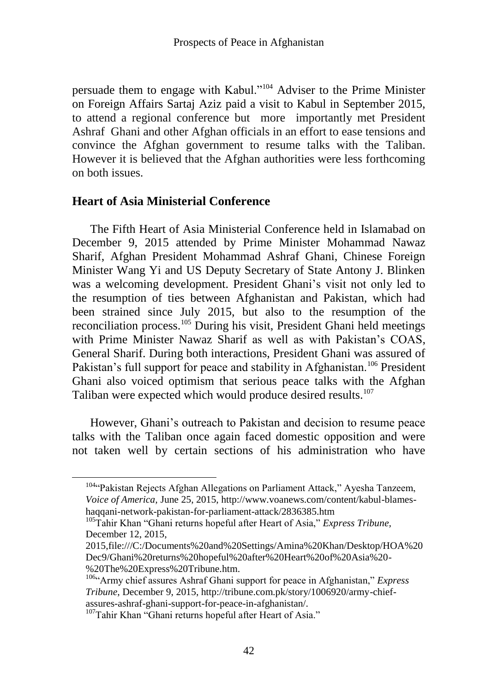persuade them to engage with Kabul."<sup>104</sup> Adviser to the Prime Minister on Foreign Affairs Sartaj Aziz paid a visit to Kabul in September 2015, to attend a regional conference but more importantly met President Ashraf Ghani and other Afghan officials in an effort to ease tensions and convince the Afghan government to resume talks with the Taliban. However it is believed that the Afghan authorities were less forthcoming on both issues.

### **Heart of Asia Ministerial Conference**

The Fifth Heart of Asia Ministerial Conference held in Islamabad on December 9, 2015 attended by Prime Minister Mohammad Nawaz Sharif, Afghan President Mohammad Ashraf Ghani, Chinese Foreign Minister Wang Yi and US Deputy Secretary of State Antony J. Blinken was a welcoming development. President Ghani's visit not only led to the resumption of ties between Afghanistan and Pakistan, which had been strained since July 2015, but also to the resumption of the reconciliation process.<sup>105</sup> During his visit, President Ghani held meetings with Prime Minister Nawaz Sharif as well as with Pakistan's COAS, General Sharif. During both interactions, President Ghani was assured of Pakistan's full support for peace and stability in Afghanistan.<sup>106</sup> President Ghani also voiced optimism that serious peace talks with the Afghan Taliban were expected which would produce desired results.<sup>107</sup>

However, Ghani's outreach to Pakistan and decision to resume peace talks with the Taliban once again faced domestic opposition and were not taken well by certain sections of his administration who have

<sup>104&</sup>lt;sup>c</sup>Pakistan Rejects Afghan Allegations on Parliament Attack," Ayesha Tanzeem, *Voice of America,* June 25, 2015, http://www.voanews.com/content/kabul-blameshaqqani-network-pakistan-for-parliament-attack/2836385.htm

<sup>&</sup>lt;sup>105</sup>Tahir Khan "Ghani returns hopeful after Heart of Asia," *Express Tribune*, December 12, 2015,

<sup>2015,</sup>file:///C:/Documents%20and%20Settings/Amina%20Khan/Desktop/HOA%20 Dec9/Ghani%20returns%20hopeful%20after%20Heart%20of%20Asia%20- %20The%20Express%20Tribune.htm.

 $106\alpha$ <sup>106 $\alpha$ </sup>Army chief assures Ashraf Ghani support for peace in Afghanistan," *Express Tribune*, December 9, 2015, http://tribune.com.pk/story/1006920/army-chiefassures-ashraf-ghani-support-for-peace-in-afghanistan/.

<sup>&</sup>lt;sup>107</sup>Tahir Khan "Ghani returns hopeful after Heart of Asia."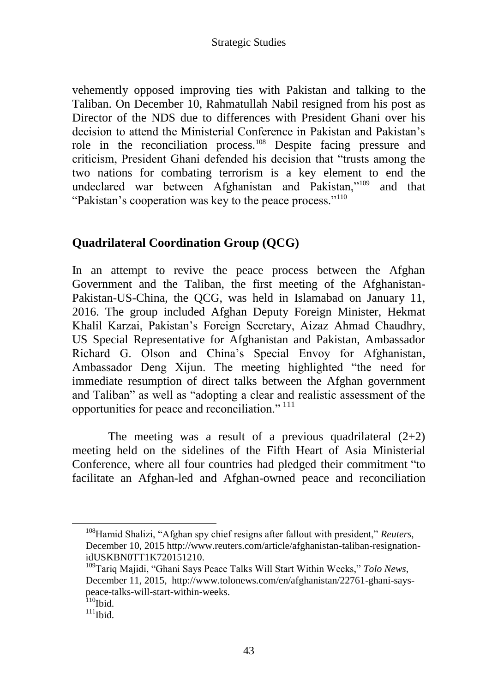vehemently opposed improving ties with Pakistan and talking to the Taliban. On December 10, Rahmatullah Nabil resigned from his post as Director of the NDS due to differences with President Ghani over his decision to attend the Ministerial Conference in Pakistan and Pakistan's role in the reconciliation process.<sup>108</sup> Despite facing pressure and criticism, President Ghani defended his decision that "trusts among the two nations for combating terrorism is a key element to end the undeclared war between Afghanistan and Pakistan,"<sup>109</sup> and that "Pakistan's cooperation was key to the peace process."<sup>110</sup>

# **Quadrilateral Coordination Group (QCG)**

In an attempt to revive the peace process between the Afghan Government and the Taliban, the first meeting of the Afghanistan-Pakistan-US-China, the QCG, was held in Islamabad on January 11, 2016. The group included Afghan Deputy Foreign Minister, Hekmat Khalil Karzai, Pakistan's Foreign Secretary, Aizaz Ahmad Chaudhry, US Special Representative for Afghanistan and Pakistan, Ambassador Richard G. Olson and China's Special Envoy for Afghanistan, Ambassador Deng Xijun. The meeting highlighted "the need for immediate resumption of direct talks between the Afghan government and Taliban" as well as "adopting a clear and realistic assessment of the opportunities for peace and reconciliation." <sup>111</sup>

The meeting was a result of a previous quadrilateral  $(2+2)$ meeting held on the sidelines of the Fifth Heart of Asia Ministerial Conference, where all four countries had pledged their commitment "to facilitate an Afghan-led and Afghan-owned peace and reconciliation

<sup>&</sup>lt;sup>108</sup>Hamid Shalizi, "Afghan spy chief resigns after fallout with president," Reuters, December 10, 2015 http://www.reuters.com/article/afghanistan-taliban-resignationidUSKBN0TT1K720151210.

<sup>&</sup>lt;sup>109</sup>Tariq Majidi, "Ghani Says Peace Talks Will Start Within Weeks," Tolo News, December 11, 2015, http://www.tolonews.com/en/afghanistan/22761-ghani-sayspeace-talks-will-start-within-weeks.

 $110$ Ibid.

 $111$ Ibid.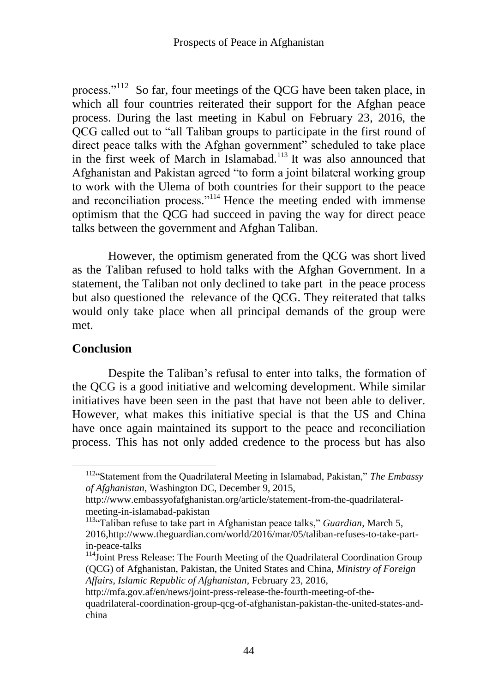process."<sup>112</sup> So far, four meetings of the QCG have been taken place, in which all four countries reiterated their support for the Afghan peace process. During the last meeting in Kabul on February 23, 2016, the QCG called out to "all Taliban groups to participate in the first round of direct peace talks with the Afghan government" scheduled to take place in the first week of March in Islamabad.<sup>113</sup> It was also announced that Afghanistan and Pakistan agreed "to form a joint bilateral working group to work with the Ulema of both countries for their support to the peace and reconciliation process. $1114$  Hence the meeting ended with immense optimism that the QCG had succeed in paving the way for direct peace talks between the government and Afghan Taliban.

However, the optimism generated from the QCG was short lived as the Taliban refused to hold talks with the Afghan Government. In a statement, the Taliban not only declined to take part in the peace process but also questioned the relevance of the QCG. They reiterated that talks would only take place when all principal demands of the group were met.

## **Conclusion**

 $\overline{a}$ 

Despite the Taliban's refusal to enter into talks, the formation of the QCG is a good initiative and welcoming development. While similar initiatives have been seen in the past that have not been able to deliver. However, what makes this initiative special is that the US and China have once again maintained its support to the peace and reconciliation process. This has not only added credence to the process but has also

<sup>&</sup>lt;sup>112</sup>"Statement from the Quadrilateral Meeting in Islamabad, Pakistan," The Embassy *of Afghanistan*, Washington DC, December 9, 2015,

http://www.embassyofafghanistan.org/article/statement-from-the-quadrilateralmeeting-in-islamabad-pakistan

<sup>&</sup>lt;sup>113</sup><sup>"</sup>Taliban refuse to take part in Afghanistan peace talks," *Guardian*, March 5, 2016,http://www.theguardian.com/world/2016/mar/05/taliban-refuses-to-take-partin-peace-talks

<sup>&</sup>lt;sup>114</sup>Joint Press Release: The Fourth Meeting of the Quadrilateral Coordination Group (QCG) of Afghanistan, Pakistan, the United States and China, *Ministry of Foreign Affairs, Islamic Republic of Afghanistan,* February 23, 2016,

http://mfa.gov.af/en/news/joint-press-release-the-fourth-meeting-of-thequadrilateral-coordination-group-qcg-of-afghanistan-pakistan-the-united-states-andchina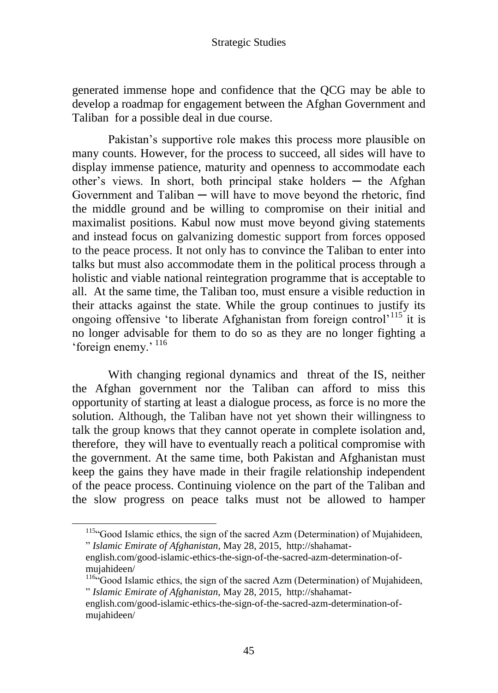generated immense hope and confidence that the QCG may be able to develop a roadmap for engagement between the Afghan Government and Taliban for a possible deal in due course.

Pakistan's supportive role makes this process more plausible on many counts. However, for the process to succeed, all sides will have to display immense patience, maturity and openness to accommodate each other's views. In short, both principal stake holders  $-$  the Afghan Government and Taliban  $-$  will have to move beyond the rhetoric, find the middle ground and be willing to compromise on their initial and maximalist positions. Kabul now must move beyond giving statements and instead focus on galvanizing domestic support from forces opposed to the peace process. It not only has to convince the Taliban to enter into talks but must also accommodate them in the political process through a holistic and viable national reintegration programme that is acceptable to all. At the same time, the Taliban too, must ensure a visible reduction in their attacks against the state. While the group continues to justify its ongoing offensive 'to liberate Afghanistan from foreign control'<sup>115</sup> it is no longer advisable for them to do so as they are no longer fighting a 'foreign enemy.' <sup>116</sup>

With changing regional dynamics and threat of the IS, neither the Afghan government nor the Taliban can afford to miss this opportunity of starting at least a dialogue process, as force is no more the solution. Although, the Taliban have not yet shown their willingness to talk the group knows that they cannot operate in complete isolation and, therefore, they will have to eventually reach a political compromise with the government. At the same time, both Pakistan and Afghanistan must keep the gains they have made in their fragile relationship independent of the peace process. Continuing violence on the part of the Taliban and the slow progress on peace talks must not be allowed to hamper

<sup>115.</sup> Good Islamic ethics, the sign of the sacred Azm (Determination) of Mujahideen, ‖ *Islamic Emirate of Afghanistan,* May 28, 2015, http://shahamat-

english.com/good-islamic-ethics-the-sign-of-the-sacred-azm-determination-ofmujahideen/

<sup>116.</sup> Good Islamic ethics, the sign of the sacred Azm (Determination) of Mujahideen, ‖ *Islamic Emirate of Afghanistan,* May 28, 2015, http://shahamat-

english.com/good-islamic-ethics-the-sign-of-the-sacred-azm-determination-ofmujahideen/